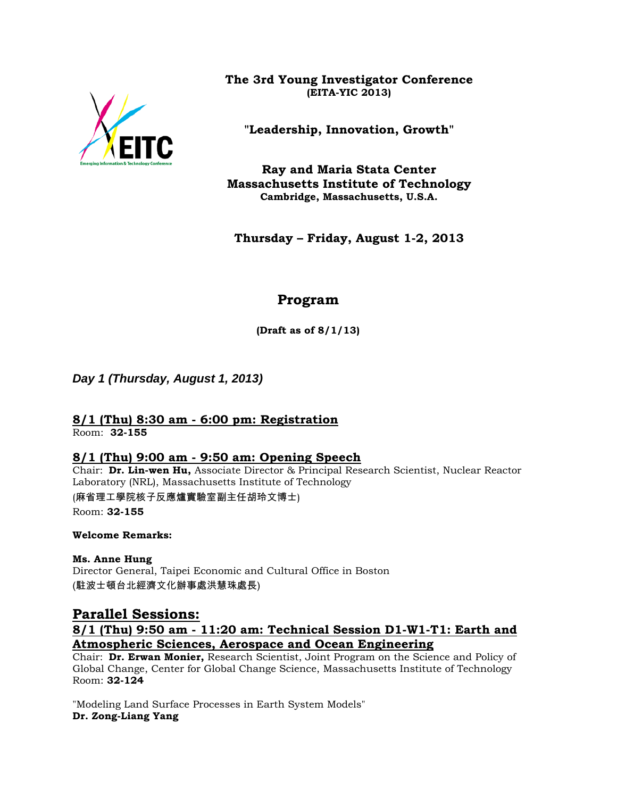

**The 3rd Young Investigator Conference (EITA-YIC 2013)**

**"Leadership, Innovation, Growth"**

**Ray and Maria Stata Center Massachusetts Institute of Technology Cambridge, Massachusetts, U.S.A.**

**Thursday – Friday, August 1-2, 2013**

# **Program**

**(Draft as of 8/1/13)**

*Day 1 (Thursday, August 1, 2013)*

# **8/1 (Thu) 8:30 am - 6:00 pm: Registration**

Room: **32-155**

## **8/1 (Thu) 9:00 am - 9:50 am: Opening Speech**

Chair: **Dr. Lin-wen Hu,** Associate Director & Principal Research Scientist, Nuclear Reactor Laboratory (NRL), Massachusetts Institute of Technology (麻省理工學院核子反應爐實驗室副主任胡玲文博士) Room: **32-155**

**Welcome Remarks:**

**Ms. Anne Hung** Director General, Taipei Economic and Cultural Office in Boston (駐波士頓台北經濟文化辦事處洪慧珠處長)

**Parallel Sessions: 8/1 (Thu) 9:50 am - 11:20 am: Technical Session D1-W1-T1: Earth and Atmospheric Sciences, Aerospace and Ocean Engineering**

Chair: **Dr. Erwan Monier,** Research Scientist, Joint Program on the Science and Policy of Global Change, Center for Global Change Science, Massachusetts Institute of Technology Room: **32-124**

"Modeling Land Surface Processes in Earth System Models" **Dr. Zong-Liang Yang**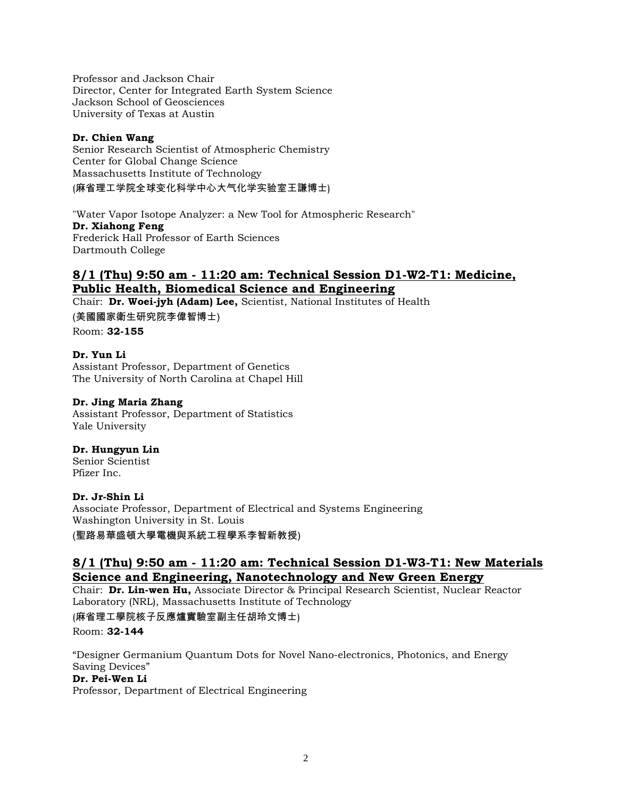Professor and Jackson Chair Director, Center for Integrated Earth System Science Jackson School of Geosciences University of Texas at Austin

### **Dr. Chien Wang**

Senior Research Scientist of Atmospheric Chemistry Center for Global Change Science Massachusetts Institute of Technology (麻省理工学院全球变化科学中心大气化学实验室王謙博士)

"Water Vapor Isotope Analyzer: a New Tool for Atmospheric Research" **Dr. Xiahong Feng** Frederick Hall Professor of Earth Sciences Dartmouth College

## **8/1 (Thu) 9:50 am - 11:20 am: Technical Session D1-W2-T1: Medicine, Public Health, Biomedical Science and Engineering**

Chair: **Dr. Woei-jyh (Adam) Lee,** Scientist, National Institutes of Health (美國國家衛生研究院李偉智博士) Room: **32-155**

**Dr. Yun Li** Assistant Professor, Department of Genetics The University of North Carolina at Chapel Hill

### **Dr. Jing Maria Zhang**

Assistant Professor, Department of Statistics Yale University

### **Dr. Hungyun Lin**

Senior Scientist Pfizer Inc.

### **Dr. Jr-Shin Li**

Associate Professor, Department of Electrical and Systems Engineering Washington University in St. Louis

(聖路易華盛頓大學電機與系統工程學系李智新教授)

## **8/1 (Thu) 9:50 am - 11:20 am: Technical Session D1-W3-T1: New Materials Science and Engineering, Nanotechnology and New Green Energy**

Chair: **Dr. Lin-wen Hu,** Associate Director & Principal Research Scientist, Nuclear Reactor Laboratory (NRL), Massachusetts Institute of Technology

(麻省理工學院核子反應爐實驗室副主任胡玲文博士) Room: **32-144**

"Designer Germanium Quantum Dots for Novel Nano-electronics, Photonics, and Energy Saving Devices"

### **Dr. Pei-Wen Li**

Professor, Department of Electrical Engineering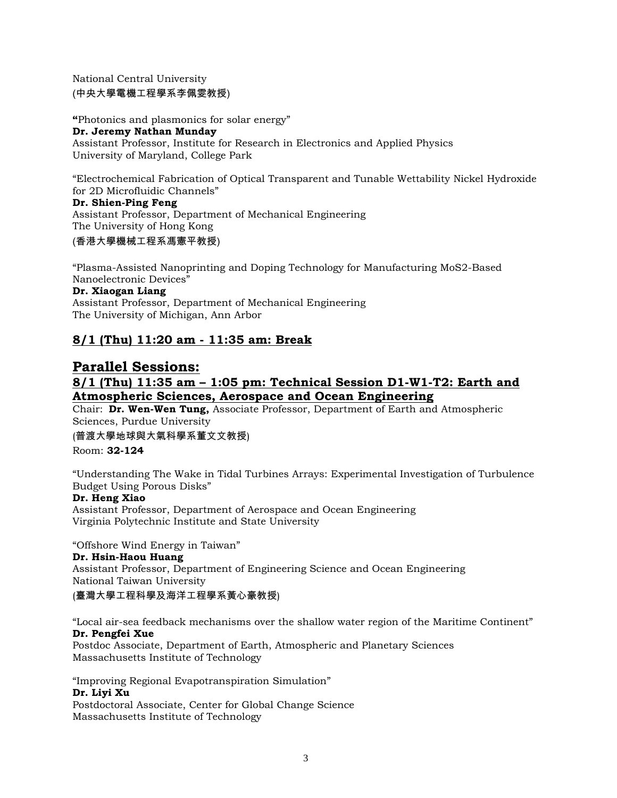National Central University (中央大學電機工程學系李佩雯教授)

**"**Photonics and plasmonics for solar energy" **Dr. Jeremy Nathan Munday** Assistant Professor, Institute for Research in Electronics and Applied Physics University of Maryland, College Park

"Electrochemical Fabrication of Optical Transparent and Tunable Wettability Nickel Hydroxide for 2D Microfluidic Channels"

**Dr. Shien-Ping Feng** Assistant Professor, Department of Mechanical Engineering The University of Hong Kong

### (香港大學機械工程系馮憲平教授)

"Plasma-Assisted Nanoprinting and Doping Technology for Manufacturing MoS2-Based Nanoelectronic Devices" **Dr. Xiaogan Liang** Assistant Professor, Department of Mechanical Engineering

The University of Michigan, Ann Arbor

## **8/1 (Thu) 11:20 am - 11:35 am: Break**

## **Parallel Sessions: 8/1 (Thu) 11:35 am – 1:05 pm: Technical Session D1-W1-T2: Earth and Atmospheric Sciences, Aerospace and Ocean Engineering**

Chair: **Dr. Wen-Wen Tung,** Associate Professor, Department of Earth and Atmospheric Sciences, Purdue University

### (普渡大學地球與大氣科學系董文文教授)

Room: **32-124**

"Understanding The Wake in Tidal Turbines Arrays: Experimental Investigation of Turbulence Budget Using Porous Disks"

### **Dr. Heng Xiao**

Assistant Professor, Department of Aerospace and Ocean Engineering Virginia Polytechnic Institute and State University

"Offshore Wind Energy in Taiwan"

### **Dr. Hsin-Haou Huang**

Assistant Professor, Department of Engineering Science and Ocean Engineering National Taiwan University

(臺灣大學工程科學及海洋工程學系黃心豪教授)

"Local air-sea feedback mechanisms over the shallow water region of the Maritime Continent" **Dr. Pengfei Xue**

Postdoc Associate, Department of Earth, Atmospheric and Planetary Sciences Massachusetts Institute of Technology

"Improving Regional Evapotranspiration Simulation" **Dr. Liyi Xu**

Postdoctoral Associate, Center for Global Change Science Massachusetts Institute of Technology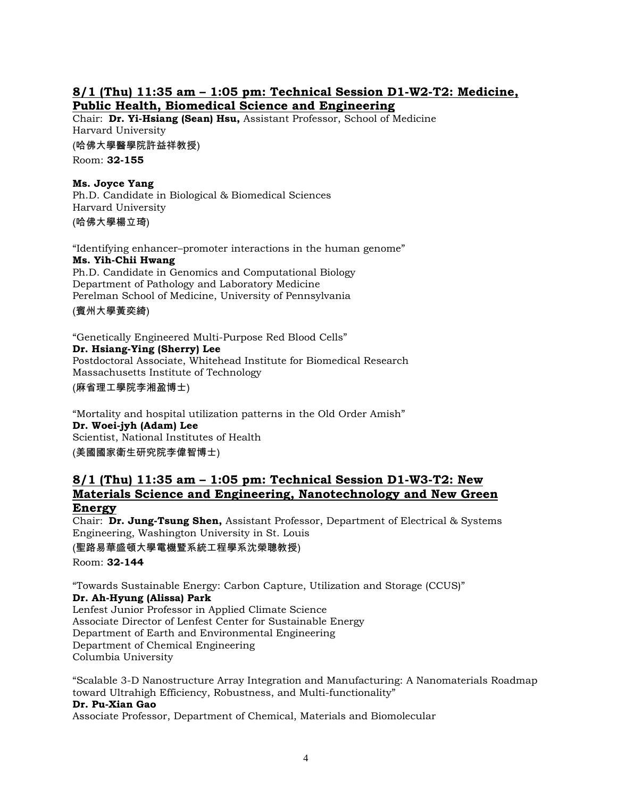### **8/1 (Thu) 11:35 am – 1:05 pm: Technical Session D1-W2-T2: Medicine, Public Health, Biomedical Science and Engineering**

Chair: **Dr. Yi-Hsiang (Sean) Hsu,** Assistant Professor, School of Medicine Harvard University (哈佛大學醫學院許益祥教授)

Room: **32-155**

### **Ms. Joyce Yang**

Ph.D. Candidate in Biological & Biomedical Sciences Harvard University (哈佛大學楊立琦)

"Identifying enhancer–promoter interactions in the human genome" **Ms. Yih-Chii Hwang** Ph.D. Candidate in Genomics and Computational Biology Department of Pathology and Laboratory Medicine Perelman School of Medicine, University of Pennsylvania

(賓州大學黃奕綺)

"Genetically Engineered Multi-Purpose Red Blood Cells" **Dr. Hsiang-Ying (Sherry) Lee**  Postdoctoral Associate, Whitehead Institute for Biomedical Research Massachusetts Institute of Technology (麻省理工學院李湘盈博士)

"Mortality and hospital utilization patterns in the Old Order Amish" **Dr. Woei-jyh (Adam) Lee** Scientist, National Institutes of Health (美國國家衛生研究院李偉智博士)

### **8/1 (Thu) 11:35 am – 1:05 pm: Technical Session D1-W3-T2: New Materials Science and Engineering, Nanotechnology and New Green Energy**

Chair: **Dr. Jung-Tsung Shen,** Assistant Professor, Department of Electrical & Systems Engineering, Washington University in St. Louis

(聖路易華盛頓大學電機暨系統工程學系沈榮聰教授)

Room: **32-144**

"Towards Sustainable Energy: Carbon Capture, Utilization and Storage (CCUS)" **Dr. Ah-Hyung (Alissa) Park**

Lenfest Junior Professor in Applied Climate Science Associate Director of Lenfest Center for Sustainable Energy Department of Earth and Environmental Engineering Department of Chemical Engineering Columbia University

"Scalable 3-D Nanostructure Array Integration and Manufacturing: A Nanomaterials Roadmap toward Ultrahigh Efficiency, Robustness, and Multi-functionality"

#### **Dr. Pu-Xian Gao**

Associate Professor, Department of Chemical, Materials and Biomolecular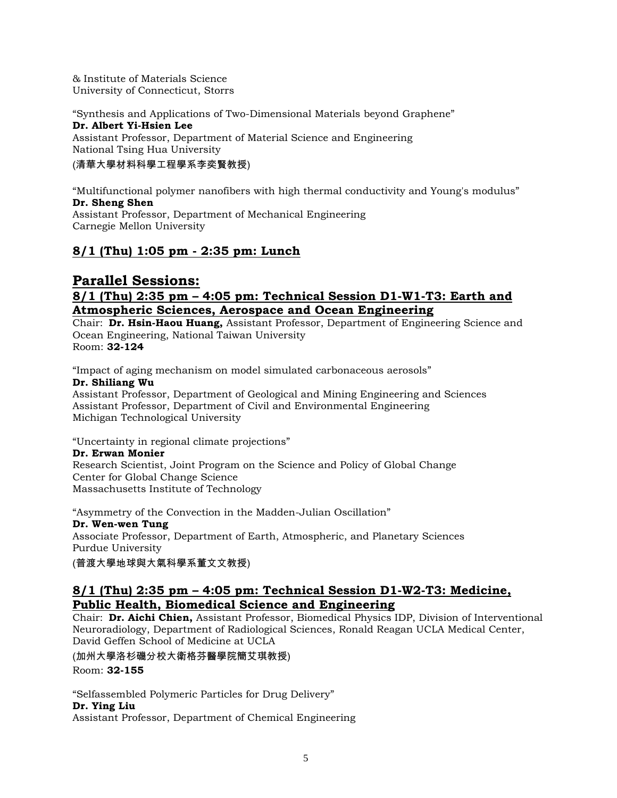& Institute of Materials Science University of Connecticut, Storrs

"Synthesis and Applications of Two-Dimensional Materials beyond Graphene" **Dr. Albert Yi-Hsien Lee** Assistant Professor, Department of Material Science and Engineering National Tsing Hua University

### (清華大學材料科學工程學系李奕賢教授)

"Multifunctional polymer nanofibers with high thermal conductivity and Young's modulus" **Dr. Sheng Shen**

Assistant Professor, Department of Mechanical Engineering Carnegie Mellon University

## **8/1 (Thu) 1:05 pm - 2:35 pm: Lunch**

## **Parallel Sessions: 8/1 (Thu) 2:35 pm – 4:05 pm: Technical Session D1-W1-T3: Earth and Atmospheric Sciences, Aerospace and Ocean Engineering**

Chair: **Dr. Hsin-Haou Huang,** Assistant Professor, Department of Engineering Science and Ocean Engineering, National Taiwan University Room: **32-124**

"Impact of aging mechanism on model simulated carbonaceous aerosols" **Dr. Shiliang Wu**

Assistant Professor, Department of Geological and Mining Engineering and Sciences Assistant Professor, Department of Civil and Environmental Engineering Michigan Technological University

"Uncertainty in regional climate projections"

### **Dr. Erwan Monier**

Research Scientist, Joint Program on the Science and Policy of Global Change Center for Global Change Science Massachusetts Institute of Technology

"Asymmetry of the Convection in the Madden-Julian Oscillation" **Dr. Wen-wen Tung** Associate Professor, Department of Earth, Atmospheric, and Planetary Sciences Purdue University

(普渡大學地球與大氣科學系董文文教授)

### **8/1 (Thu) 2:35 pm – 4:05 pm: Technical Session D1-W2-T3: Medicine, Public Health, Biomedical Science and Engineering**

Chair: **Dr. Aichi Chien,** Assistant Professor, Biomedical Physics IDP, Division of Interventional Neuroradiology, Department of Radiological Sciences, Ronald Reagan UCLA Medical Center, David Geffen School of Medicine at UCLA

(加州大學洛杉磯分校大衛格芬醫學院簡艾琪教授)

Room: **32-155**

"Selfassembled Polymeric Particles for Drug Delivery"

#### **Dr. Ying Liu**

Assistant Professor, Department of Chemical Engineering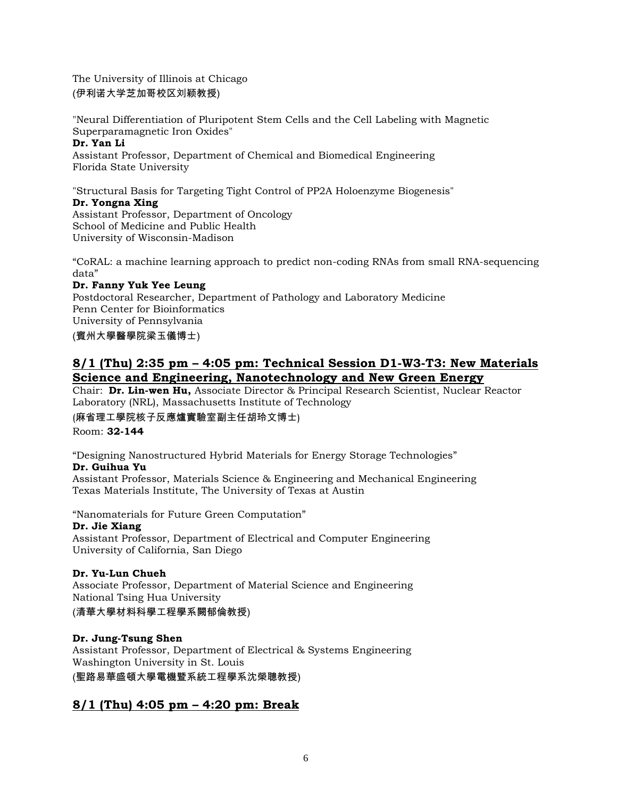The University of Illinois at Chicago (伊利诺大学芝加哥校区刘颖教授)

"Neural Differentiation of Pluripotent Stem Cells and the Cell Labeling with Magnetic Superparamagnetic Iron Oxides" **Dr. Yan Li**

Assistant Professor, Department of Chemical and Biomedical Engineering Florida State University

"Structural Basis for Targeting Tight Control of PP2A Holoenzyme Biogenesis"

#### **Dr. Yongna Xing**

Assistant Professor, Department of Oncology School of Medicine and Public Health University of Wisconsin-Madison

"CoRAL: a machine learning approach to predict non-coding RNAs from small RNA-sequencing data"

### **Dr. Fanny Yuk Yee Leung**

Postdoctoral Researcher, Department of Pathology and Laboratory Medicine Penn Center for Bioinformatics University of Pennsylvania (賓州大學醫學院梁玉儀博士)

## **8/1 (Thu) 2:35 pm – 4:05 pm: Technical Session D1-W3-T3: New Materials Science and Engineering, Nanotechnology and New Green Energy**

Chair: **Dr. Lin-wen Hu,** Associate Director & Principal Research Scientist, Nuclear Reactor Laboratory (NRL), Massachusetts Institute of Technology

(麻省理工學院核子反應爐實驗室副主任胡玲文博士)

Room: **32-144**

"Designing Nanostructured Hybrid Materials for Energy Storage Technologies"

#### **Dr. Guihua Yu**

Assistant Professor, Materials Science & Engineering and Mechanical Engineering Texas Materials Institute, The University of Texas at Austin

"Nanomaterials for Future Green Computation"

### **Dr. Jie Xiang**

Assistant Professor, Department of Electrical and Computer Engineering University of California, San Diego

### **Dr. Yu-Lun Chueh**

Associate Professor, Department of Material Science and Engineering National Tsing Hua University

(清華大學材料科學工程學系闕郁倫教授)

### **Dr. Jung-Tsung Shen**

Assistant Professor, Department of Electrical & Systems Engineering Washington University in St. Louis (聖路易華盛頓大學電機暨系統工程學系沈榮聰教授)

### **8/1 (Thu) 4:05 pm – 4:20 pm: Break**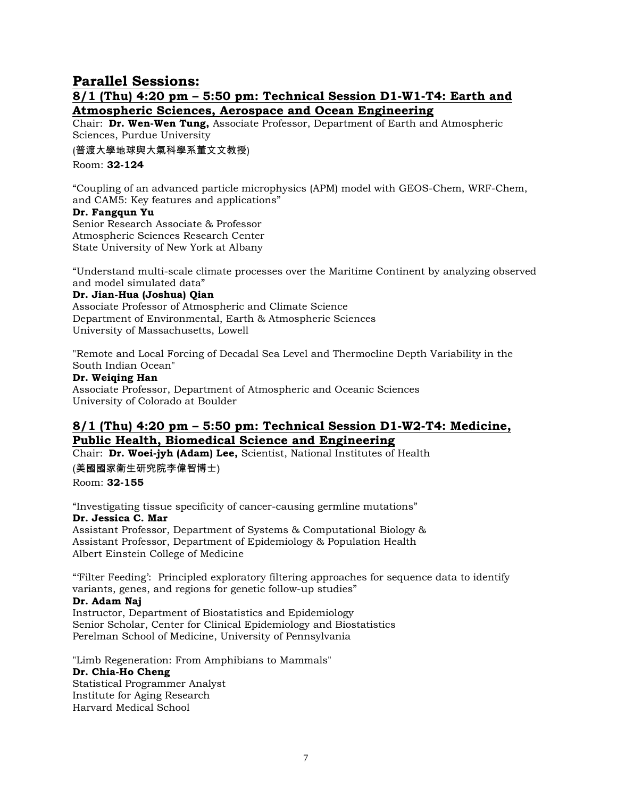## **Parallel Sessions:**

### **8/1 (Thu) 4:20 pm – 5:50 pm: Technical Session D1-W1-T4: Earth and Atmospheric Sciences, Aerospace and Ocean Engineering**

Chair: **Dr. Wen-Wen Tung,** Associate Professor, Department of Earth and Atmospheric Sciences, Purdue University

(普渡大學地球與大氣科學系董文文教授)

Room: **32-124**

"Coupling of an advanced particle microphysics (APM) model with GEOS-Chem, WRF-Chem, and CAM5: Key features and applications"

#### **Dr. Fangqun Yu**

Senior Research Associate & Professor Atmospheric Sciences Research Center State University of New York at Albany

"Understand multi-scale climate processes over the Maritime Continent by analyzing observed and model simulated data"

#### **Dr. Jian-Hua (Joshua) Qian**

Associate Professor of Atmospheric and Climate Science Department of Environmental, Earth & Atmospheric Sciences University of Massachusetts, Lowell

"Remote and Local Forcing of Decadal Sea Level and Thermocline Depth Variability in the South Indian Ocean"

#### **Dr. Weiqing Han**

Associate Professor, Department of Atmospheric and Oceanic Sciences University of Colorado at Boulder

## **8/1 (Thu) 4:20 pm – 5:50 pm: Technical Session D1-W2-T4: Medicine, Public Health, Biomedical Science and Engineering**

Chair: **Dr. Woei-jyh (Adam) Lee,** Scientist, National Institutes of Health (美國國家衛生研究院李偉智博士)

Room: **32-155**

"Investigating tissue specificity of cancer-causing germline mutations" **Dr. Jessica C. Mar**

Assistant Professor, Department of Systems & Computational Biology & Assistant Professor, Department of Epidemiology & Population Health Albert Einstein College of Medicine

"'Filter Feeding': Principled exploratory filtering approaches for sequence data to identify variants, genes, and regions for genetic follow-up studies"

#### **Dr. Adam Naj**

Instructor, Department of Biostatistics and Epidemiology Senior Scholar, Center for Clinical Epidemiology and Biostatistics Perelman School of Medicine, University of Pennsylvania

"Limb Regeneration: From Amphibians to Mammals" **Dr. Chia-Ho Cheng** Statistical Programmer Analyst Institute for Aging Research Harvard Medical School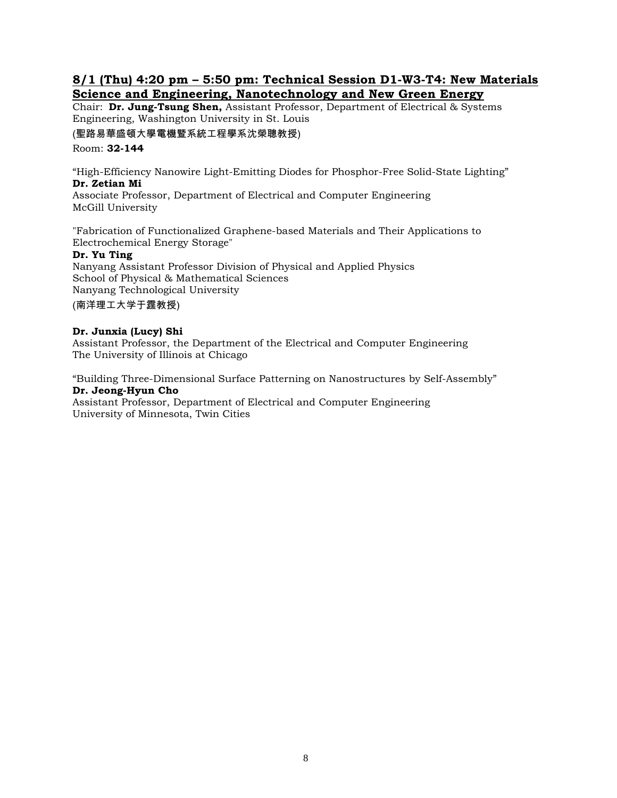### **8/1 (Thu) 4:20 pm – 5:50 pm: Technical Session D1-W3-T4: New Materials Science and Engineering, Nanotechnology and New Green Energy**

Chair: **Dr. Jung-Tsung Shen,** Assistant Professor, Department of Electrical & Systems Engineering, Washington University in St. Louis

(聖路易華盛頓大學電機暨系統工程學系沈榮聰教授)

Room: **32-144**

"High-Efficiency Nanowire Light-Emitting Diodes for Phosphor-Free Solid-State Lighting" **Dr. Zetian Mi**

Associate Professor, Department of Electrical and Computer Engineering McGill University

"Fabrication of Functionalized Graphene-based Materials and Their Applications to Electrochemical Energy Storage"

#### **Dr. Yu Ting**

Nanyang Assistant Professor Division of Physical and Applied Physics School of Physical & Mathematical Sciences Nanyang Technological University

(南洋理工大学于霆教授)

#### **Dr. Junxia (Lucy) Shi**

Assistant Professor, the Department of the Electrical and Computer Engineering The University of Illinois at Chicago

"Building Three-Dimensional Surface Patterning on Nanostructures by Self-Assembly" **Dr. Jeong-Hyun Cho**

Assistant Professor, Department of Electrical and Computer Engineering University of Minnesota, Twin Cities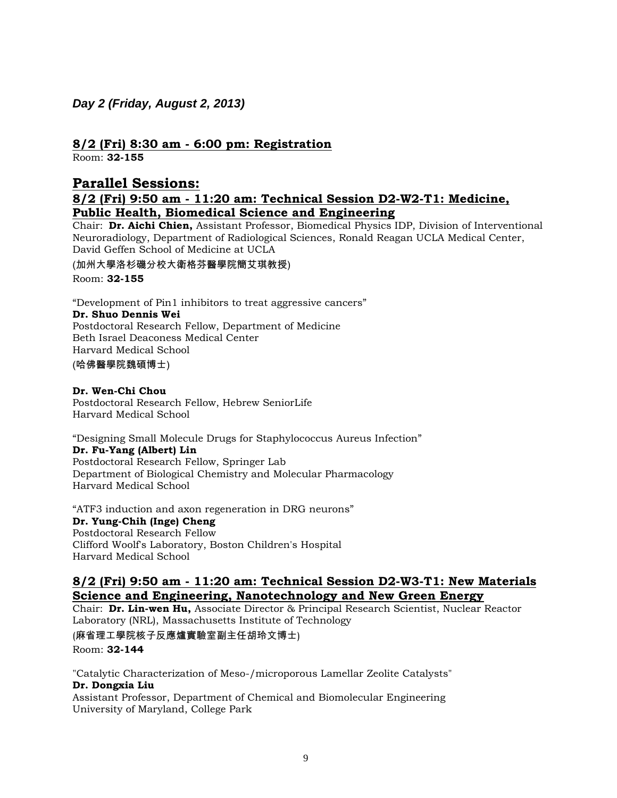# *Day 2 (Friday, August 2, 2013)*

## **8/2 (Fri) 8:30 am - 6:00 pm: Registration**

Room: **32-155**

## **Parallel Sessions:**

### **8/2 (Fri) 9:50 am - 11:20 am: Technical Session D2-W2-T1: Medicine, Public Health, Biomedical Science and Engineering**

Chair: **Dr. Aichi Chien,** Assistant Professor, Biomedical Physics IDP, Division of Interventional Neuroradiology, Department of Radiological Sciences, Ronald Reagan UCLA Medical Center, David Geffen School of Medicine at UCLA

(加州大學洛杉磯分校大衛格芬醫學院簡艾琪教授)

Room: **32-155**

"Development of Pin1 inhibitors to treat aggressive cancers"

#### **Dr. Shuo Dennis Wei**

Postdoctoral Research Fellow, Department of Medicine Beth Israel Deaconess Medical Center Harvard Medical School

(哈佛醫學院魏碩博士)

### **Dr. Wen-Chi Chou**

Postdoctoral Research Fellow, Hebrew SeniorLife Harvard Medical School

"Designing Small Molecule Drugs for Staphylococcus Aureus Infection" **Dr. Fu-Yang (Albert) Lin** Postdoctoral Research Fellow, Springer Lab Department of Biological Chemistry and Molecular Pharmacology Harvard Medical School

"ATF3 induction and axon regeneration in DRG neurons" **Dr. Yung-Chih (Inge) Cheng** Postdoctoral Research Fellow Clifford Woolf's Laboratory, Boston Children's Hospital Harvard Medical School

### **8/2 (Fri) 9:50 am - 11:20 am: Technical Session D2-W3-T1: New Materials Science and Engineering, Nanotechnology and New Green Energy**

Chair: **Dr. Lin-wen Hu,** Associate Director & Principal Research Scientist, Nuclear Reactor Laboratory (NRL), Massachusetts Institute of Technology

(麻省理工學院核子反應爐實驗室副主任胡玲文博士) Room: **32-144**

"Catalytic Characterization of Meso-/microporous Lamellar Zeolite Catalysts" **Dr. Dongxia Liu** Assistant Professor, Department of Chemical and Biomolecular Engineering

University of Maryland, College Park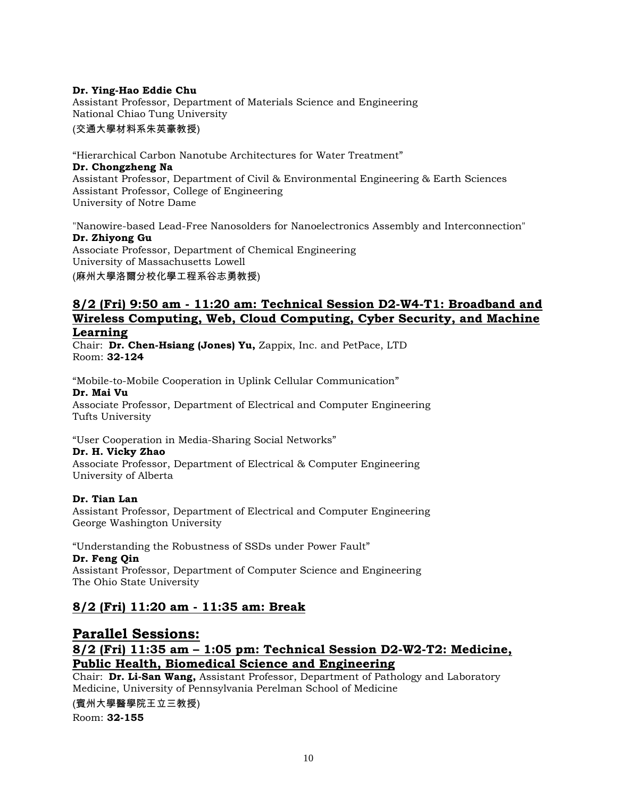#### **Dr. Ying-Hao Eddie Chu**

Assistant Professor, Department of Materials Science and Engineering National Chiao Tung University

#### (交通大學材料系朱英豪教授)

"Hierarchical Carbon Nanotube Architectures for Water Treatment" **Dr. Chongzheng Na** Assistant Professor, Department of Civil & Environmental Engineering & Earth Sciences Assistant Professor, College of Engineering University of Notre Dame

"Nanowire-based Lead-Free Nanosolders for Nanoelectronics Assembly and Interconnection" **Dr. Zhiyong Gu** Associate Professor, Department of Chemical Engineering University of Massachusetts Lowell

(麻州大學洛爾分校化學工程系谷志勇教授)

### **8/2 (Fri) 9:50 am - 11:20 am: Technical Session D2-W4-T1: Broadband and Wireless Computing, Web, Cloud Computing, Cyber Security, and Machine Learning**

Chair: **Dr. Chen-Hsiang (Jones) Yu,** Zappix, Inc. and PetPace, LTD Room: **32-124**

"Mobile-to-Mobile Cooperation in Uplink Cellular Communication" **Dr. Mai Vu** Associate Professor, Department of Electrical and Computer Engineering Tufts University

"User Cooperation in Media-Sharing Social Networks"

#### **Dr. H. Vicky Zhao**

Associate Professor, Department of Electrical & Computer Engineering University of Alberta

### **Dr. Tian Lan**

Assistant Professor, Department of Electrical and Computer Engineering George Washington University

"Understanding the Robustness of SSDs under Power Fault" **Dr. Feng Qin** Assistant Professor, Department of Computer Science and Engineering

The Ohio State University

## **8/2 (Fri) 11:20 am - 11:35 am: Break**

# **Parallel Sessions: 8/2 (Fri) 11:35 am – 1:05 pm: Technical Session D2-W2-T2: Medicine, Public Health, Biomedical Science and Engineering**

Chair: **Dr. Li-San Wang,** Assistant Professor, Department of Pathology and Laboratory Medicine, University of Pennsylvania Perelman School of Medicine

(賓州大學醫學院王立三教授)

Room: **32-155**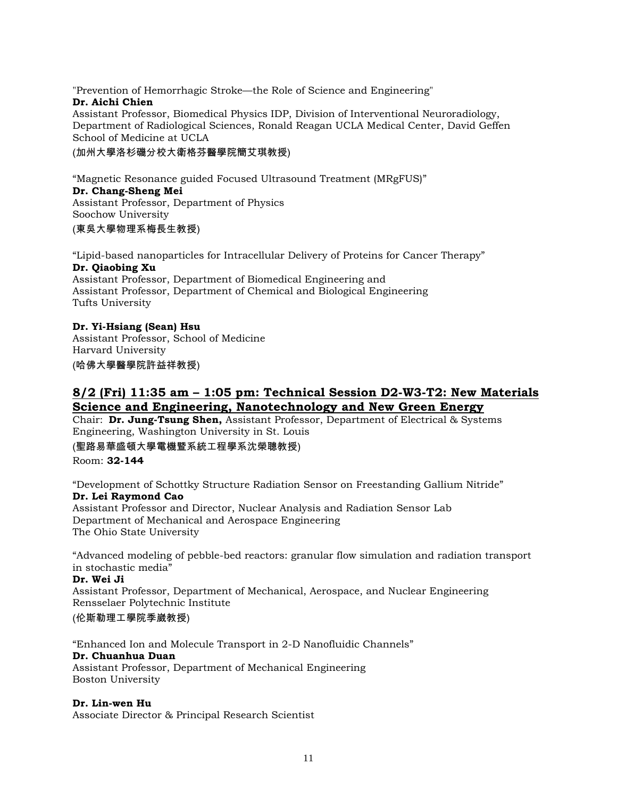"Prevention of Hemorrhagic Stroke—the Role of Science and Engineering" **Dr. Aichi Chien** Assistant Professor, Biomedical Physics IDP, Division of Interventional Neuroradiology,

Department of Radiological Sciences, Ronald Reagan UCLA Medical Center, David Geffen School of Medicine at UCLA

(加州大學洛杉磯分校大衛格芬醫學院簡艾琪教授)

"Magnetic Resonance guided Focused Ultrasound Treatment (MRgFUS)" **Dr. Chang-Sheng Mei** Assistant Professor, Department of Physics Soochow University

(東吳大學物理系梅長生教授)

"Lipid-based nanoparticles for Intracellular Delivery of Proteins for Cancer Therapy" **Dr. Qiaobing Xu** Assistant Professor, Department of Biomedical Engineering and Assistant Professor, Department of Chemical and Biological Engineering Tufts University

### **Dr. Yi-Hsiang (Sean) Hsu**

Assistant Professor, School of Medicine Harvard University (哈佛大學醫學院許益祥教授)

## **8/2 (Fri) 11:35 am – 1:05 pm: Technical Session D2-W3-T2: New Materials Science and Engineering, Nanotechnology and New Green Energy**

Chair: **Dr. Jung-Tsung Shen,** Assistant Professor, Department of Electrical & Systems Engineering, Washington University in St. Louis

(聖路易華盛頓大學電機暨系統工程學系沈榮聰教授)

Room: **32-144**

"Development of Schottky Structure Radiation Sensor on Freestanding Gallium Nitride" **Dr. Lei Raymond Cao** Assistant Professor and Director, Nuclear Analysis and Radiation Sensor Lab Department of Mechanical and Aerospace Engineering The Ohio State University

"Advanced modeling of pebble-bed reactors: granular flow simulation and radiation transport in stochastic media"

#### **Dr. Wei Ji**

Assistant Professor, Department of Mechanical, Aerospace, and Nuclear Engineering Rensselaer Polytechnic Institute

### (伦斯勒理工學院季崴教授)

"Enhanced Ion and Molecule Transport in 2-D Nanofluidic Channels" **Dr. Chuanhua Duan** Assistant Professor, Department of Mechanical Engineering Boston University

#### **Dr. Lin-wen Hu**

Associate Director & Principal Research Scientist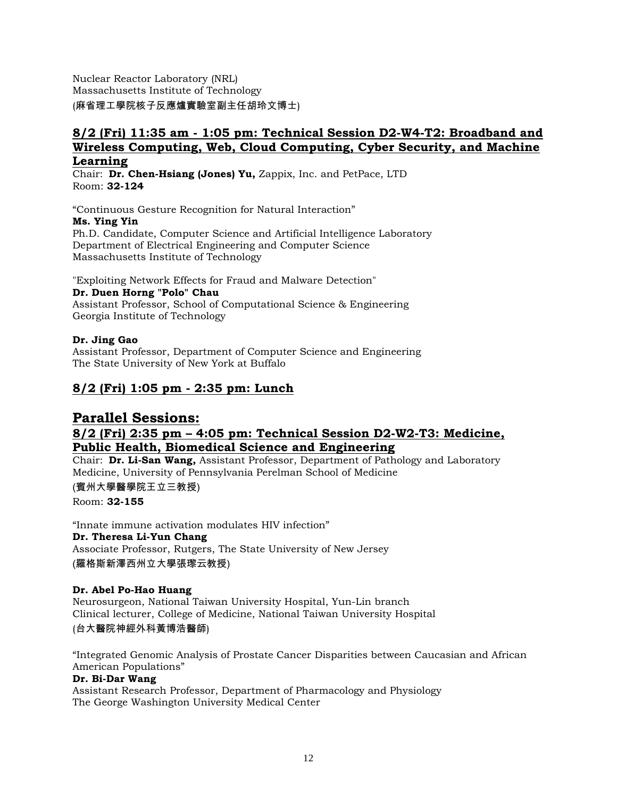Nuclear Reactor Laboratory (NRL) Massachusetts Institute of Technology (麻省理工學院核子反應爐實驗室副主任胡玲文博士)

### **8/2 (Fri) 11:35 am - 1:05 pm: Technical Session D2-W4-T2: Broadband and Wireless Computing, Web, Cloud Computing, Cyber Security, and Machine Learning**

Chair: **Dr. Chen-Hsiang (Jones) Yu,** Zappix, Inc. and PetPace, LTD Room: **32-124**

"Continuous Gesture Recognition for Natural Interaction" **Ms. Ying Yin** Ph.D. Candidate, Computer Science and Artificial Intelligence Laboratory Department of Electrical Engineering and Computer Science Massachusetts Institute of Technology

"Exploiting Network Effects for Fraud and Malware Detection" **Dr. Duen Horng "Polo" Chau** Assistant Professor, School of Computational Science & Engineering Georgia Institute of Technology

### **Dr. Jing Gao**

Assistant Professor, Department of Computer Science and Engineering The State University of New York at Buffalo

# **8/2 (Fri) 1:05 pm - 2:35 pm: Lunch**

### **Parallel Sessions: 8/2 (Fri) 2:35 pm – 4:05 pm: Technical Session D2-W2-T3: Medicine, Public Health, Biomedical Science and Engineering**

Chair: **Dr. Li-San Wang,** Assistant Professor, Department of Pathology and Laboratory Medicine, University of Pennsylvania Perelman School of Medicine

(賓州大學醫學院王立三教授) Room: **32-155**

"Innate immune activation modulates HIV infection" **Dr. Theresa Li-Yun Chang** Associate Professor, Rutgers, The State University of New Jersey (羅格斯新澤西州立大學張瓈云教授)

### **Dr. Abel Po-Hao Huang**

Neurosurgeon, National Taiwan University Hospital, Yun-Lin branch Clinical lecturer, College of Medicine, National Taiwan University Hospital (台大醫院神經外科黃博浩醫師)

"Integrated Genomic Analysis of Prostate Cancer Disparities between Caucasian and African American Populations"

### **Dr. Bi-Dar Wang**

Assistant Research Professor, Department of Pharmacology and Physiology The George Washington University Medical Center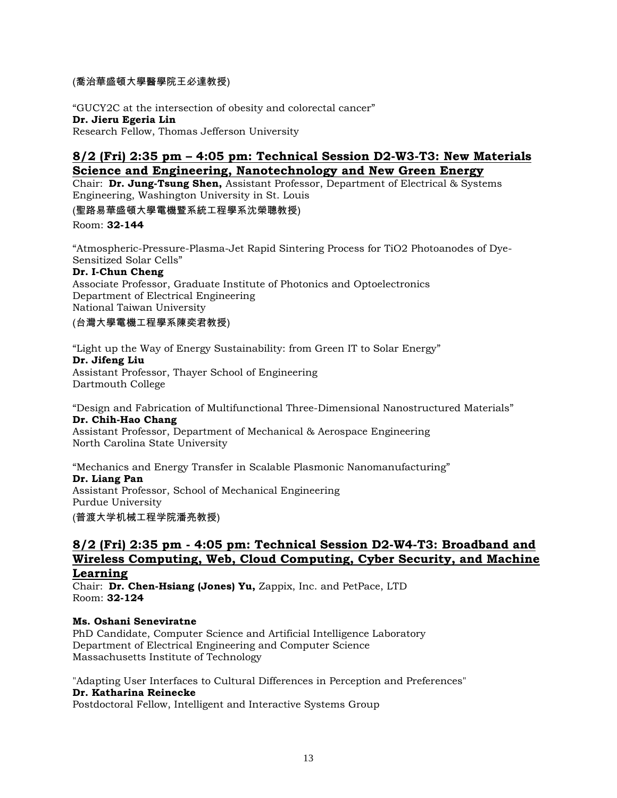### (喬治華盛頓大學醫學院王必達教授)

"GUCY2C at the intersection of obesity and colorectal cancer" **Dr. Jieru Egeria Lin** Research Fellow, Thomas Jefferson University

### **8/2 (Fri) 2:35 pm – 4:05 pm: Technical Session D2-W3-T3: New Materials Science and Engineering, Nanotechnology and New Green Energy**

Chair: **Dr. Jung-Tsung Shen,** Assistant Professor, Department of Electrical & Systems Engineering, Washington University in St. Louis

(聖路易華盛頓大學電機暨系統工程學系沈榮聰教授)

Room: **32-144**

"Atmospheric-Pressure-Plasma-Jet Rapid Sintering Process for TiO2 Photoanodes of Dye-Sensitized Solar Cells"

#### **Dr. I-Chun Cheng**

Associate Professor, Graduate Institute of Photonics and Optoelectronics Department of Electrical Engineering National Taiwan University

(台灣大學電機工程學系陳奕君教授)

"Light up the Way of Energy Sustainability: from Green IT to Solar Energy" **Dr. Jifeng Liu** Assistant Professor, Thayer School of Engineering Dartmouth College

"Design and Fabrication of Multifunctional Three-Dimensional Nanostructured Materials" **Dr. Chih-Hao Chang**

Assistant Professor, Department of Mechanical & Aerospace Engineering North Carolina State University

"Mechanics and Energy Transfer in Scalable Plasmonic Nanomanufacturing" **Dr. Liang Pan**

Assistant Professor, School of Mechanical Engineering Purdue University

(普渡大学机械工程学院潘亮教授)

### **8/2 (Fri) 2:35 pm - 4:05 pm: Technical Session D2-W4-T3: Broadband and Wireless Computing, Web, Cloud Computing, Cyber Security, and Machine Learning**

Chair: **Dr. Chen-Hsiang (Jones) Yu,** Zappix, Inc. and PetPace, LTD Room: **32-124**

### **Ms. Oshani Seneviratne**

PhD Candidate, Computer Science and Artificial Intelligence Laboratory Department of Electrical Engineering and Computer Science Massachusetts Institute of Technology

"Adapting User Interfaces to Cultural Differences in Perception and Preferences" **Dr. Katharina Reinecke**

Postdoctoral Fellow, Intelligent and Interactive Systems Group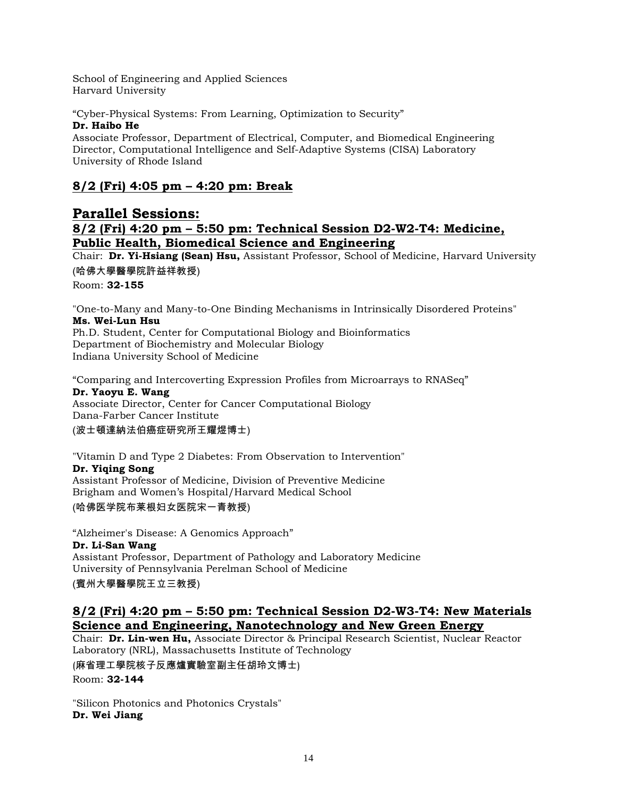School of Engineering and Applied Sciences Harvard University

"Cyber-Physical Systems: From Learning, Optimization to Security"

### **Dr. Haibo He**

Associate Professor, Department of Electrical, Computer, and Biomedical Engineering Director, Computational Intelligence and Self-Adaptive Systems (CISA) Laboratory University of Rhode Island

# **8/2 (Fri) 4:05 pm – 4:20 pm: Break**

## **Parallel Sessions: 8/2 (Fri) 4:20 pm – 5:50 pm: Technical Session D2-W2-T4: Medicine, Public Health, Biomedical Science and Engineering**

Chair: **Dr. Yi-Hsiang (Sean) Hsu,** Assistant Professor, School of Medicine, Harvard University (哈佛大學醫學院許益祥教授)

Room: **32-155**

"One-to-Many and Many-to-One Binding Mechanisms in Intrinsically Disordered Proteins" **Ms. Wei-Lun Hsu**

Ph.D. Student, Center for Computational Biology and Bioinformatics Department of Biochemistry and Molecular Biology Indiana University School of Medicine

"Comparing and Intercoverting Expression Profiles from Microarrays to RNASeq"

### **Dr. Yaoyu E. Wang**

Associate Director, Center for Cancer Computational Biology Dana-Farber Cancer Institute

(波士頓達納法伯癌症研究所王耀煜博士)

"Vitamin D and Type 2 Diabetes: From Observation to Intervention"

### **Dr. Yiqing Song**

Assistant Professor of Medicine, Division of Preventive Medicine Brigham and Women's Hospital/Harvard Medical School (哈佛医学院布莱根妇女医院宋一青教授)

"Alzheimer's Disease: A Genomics Approach"

**Dr. Li-San Wang** Assistant Professor, Department of Pathology and Laboratory Medicine University of Pennsylvania Perelman School of Medicine

(賓州大學醫學院王立三教授)

### **8/2 (Fri) 4:20 pm – 5:50 pm: Technical Session D2-W3-T4: New Materials Science and Engineering, Nanotechnology and New Green Energy**

Chair: **Dr. Lin-wen Hu,** Associate Director & Principal Research Scientist, Nuclear Reactor Laboratory (NRL), Massachusetts Institute of Technology

(麻省理工學院核子反應爐實驗室副主任胡玲文博士)

Room: **32-144**

"Silicon Photonics and Photonics Crystals" **Dr. Wei Jiang**